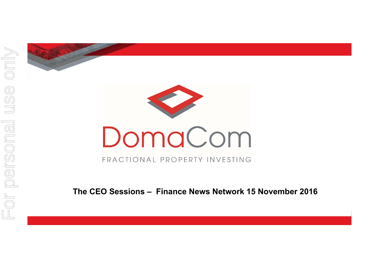



FRACTIONAL PROPERTY INVESTING

**The CEO Sessions – Finance News Network 15 November 2016**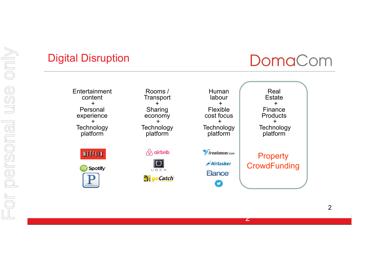## Digital Disruption

# DomaCom

**Entertainment** content+Personal experience +**Technology** platform

**NETFLIX** 

Spotify<sup>®</sup>  $\mathbf{P}_{\text{ANDOR}}$ 

Rooms / **Transport** +Sharing economy +**Technology** platform

 $\Diamond$  airbnb

UBER **B** goCatch

Human labour+Flexiblecost focus +**Technology** platform **freelancer.com** Airtasker Elance<sup>®</sup>

 $\mathbf C$ 

**Estate** +Finance Products +**Technology** platform

Real

**Property CrowdFunding** 

2

2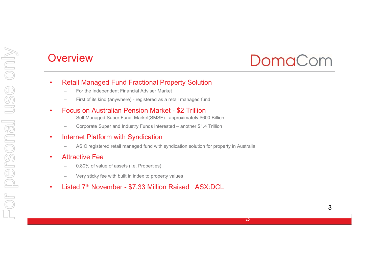#### **Overview**

# DomaCom

 $\bf{J}$ 

- • Retail Managed Fund Fractional Property Solution
	- For the Independent Financial Adviser Market
	- First of its kind (anywhere) registered as a retail managed fund
- • Focus on Australian Pension Market - \$2 Trillion
	- Self Managed Super Fund Market(SMSF) approximately \$600 Billion
	- Corporate Super and Industry Funds interested another \$1.4 Trillion
- • Internet Platform with Syndication
	- ASIC registered retail managed fund with syndication solution for property in Australia
- • Attractive Fee
	- 0.80% of value of assets (i.e. Properties)
	- Very sticky fee with built in index to property values
- •Listed 7th November - \$7.33 Million Raised ASX:DCL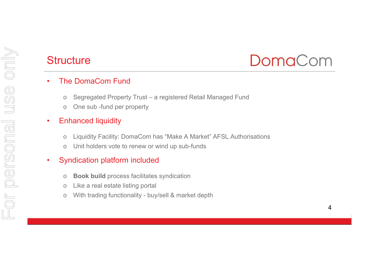# Structure

# DomaCom

#### •The DomaCom Fund

- oSegregated Property Trust – a registered Retail Managed Fund
- oOne sub -fund per property

#### •Enhanced liquidity

- oLiquidity Facility: DomaCom has "Make A Market" AFSL Authorisations
- oUnit holders vote to renew or wind up sub-funds

#### •Syndication platform included

- o**Book build** process facilitates syndication
- oLike a real estate listing portal
- oWith trading functionality - buy/sell & market depth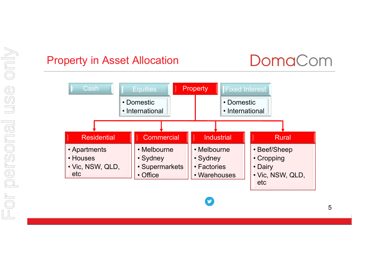### Property in Asset Allocation



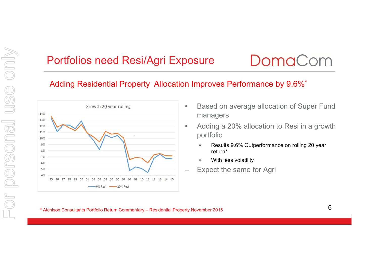## Portfolios need Resi/Agri Exposure

# DomaCom

#### Adding Residential Property Allocation Improves Performance by 9.6%\*

•



- • Based on average allocation of Super Fund managers
- Adding a 20% allocation to Resi in a growth portfolio
	- • Results 9.6% Outperformance on rolling 20 year return\*
	- •With less volatility
- Expect the same for Agri

#### \* Atchison Consultants Portfolio Return Commentary – Residential Property November 2015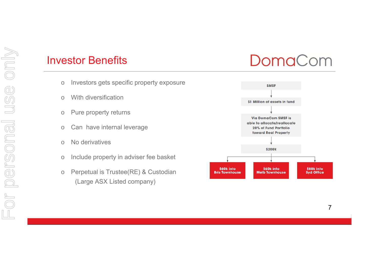#### Investor Benefits

- oInvestors gets specific property exposure
- oWith diversification
- oPure property returns
- oCan have internal leverage
- oNo derivatives
- oInclude property in adviser fee basket
- o Perpetual is Trustee(RE) & Custodian (Large ASX Listed company)



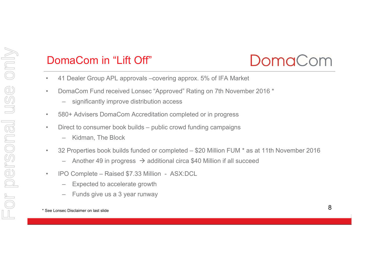## DomaCom in "Lift Off"



- •41 Dealer Group APL approvals –covering approx. 5% of IFA Market
- • DomaCom Fund received Lonsec "Approved" Rating on 7th November 2016 \*
	- significantly improve distribution access
- •580+ Advisers DomaCom Accreditation completed or in progress
- • Direct to consumer book builds – public crowd funding campaigns
	- –Kidman, The Block
- $\bullet$  32 Properties book builds funded or completed – \$20 Million FUM \* as at 11th November 2016
	- –Another 49 in progress  $\rightarrow$  additional circa \$40 Million if all succeed
- $\bullet$  IPO Complete – Raised \$7.33 Million - ASX:DCL
	- Expected to accelerate growth
	- Funds give us a 3 year runway

\* See Lonsec Disclaimer on last slide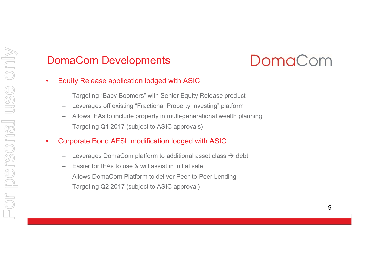## DomaCom Developments



- • Equity Release application lodged with ASIC
	- Targeting "Baby Boomers" with Senior Equity Release product
	- Leverages off existing "Fractional Property Investing" platfor m
	- –Allows IFAs to include property in multi-generational wealth planning
	- Targeting Q1 2017 (subject to ASIC approvals)
- • Corporate Bond AFSL modification lodged with ASIC
	- Leverages DomaCom platform to additional asset class  $\rightarrow$  debt
	- Easier for IFAs to use & will assist in initial sale
	- Allows DomaCom Platform to deliver Peer-to-Peer Lending
	- Targeting Q2 2017 (subject to ASIC approval)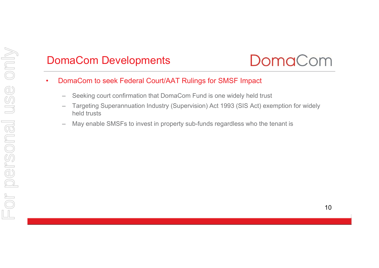# For personal use onlyFor personal use only

## DomaCom Developments



- • DomaCom to seek Federal Court/AAT Rulings for SMSF Impact
	- Seeking court confirmation that DomaCom Fund is one widely held trust
	- Targeting Superannuation Industry (Supervision) Act 1993 (SIS Act) exemption for widely held trusts
	- May enable SMSFs to invest in property sub-funds regardless who the tenant is